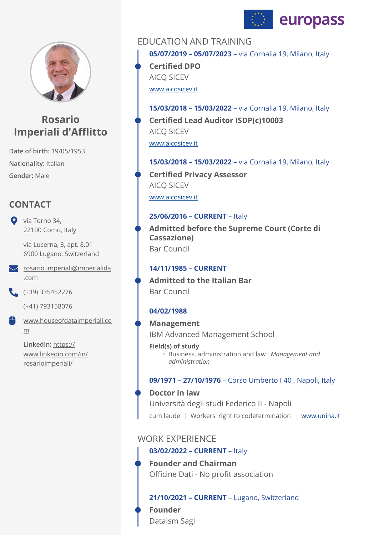



# **Rosario Imperiali d'Afflitto**

**Date of birth:** 19/05/1953 **Nationality:** Italian **Gender:** Male

# **CONTACT**

Via Torno 34, 22100 Como, Italy

> via Lucerna, 3, apt. 8.01 6900 Lugano, Switzerland

[rosario.imperiali@imperialida](mailto:rosario.imperiali@imperialida.com) [.com](mailto:rosario.imperiali@imperialida.com)

 $( +39)$  335452276

(+41) 793158076

[www.houseofdataimperiali.co](http://www.houseofdataimperiali.com) [m](http://www.houseofdataimperiali.com) ₩

> **LinkedIn:** [https://](https://www.linkedin.com/in/rosarioimperiali/) [www.linkedin.com/in/](https://www.linkedin.com/in/rosarioimperiali/) [rosarioimperiali/](https://www.linkedin.com/in/rosarioimperiali/)

# EDUCATION AND TRAINING

**05/07/2019 – 05/07/2023** – via Cornalia 19, Milano, Italy **Certified DPO** 

AICQ SICEV

[www.aicqsicev.it](http://www.aicqsicev.it)

**15/03/2018 – 15/03/2022** – via Cornalia 19, Milano, Italy [www.aicqsicev.it](http://www.aicqsicev.it) **Certified Lead Auditor ISDP(c)10003**  AICQ SICEV

**15/03/2018 – 15/03/2022** – via Cornalia 19, Milano, Italy [www.aicqsicev.it](http://www.aicqsicev.it) **Certified Privacy Assessor**  AICQ SICEV

### **25/06/2016 – CURRENT** – Italy

**Admitted before the Supreme Court (Corte di Cassazione)**  Bar Council

### **14/11/1985 – CURRENT**

**Admitted to the Italian Bar**  Bar Council

### **04/02/1988**

**Management** 

IBM Advanced Management School

**Field(s) of study** Business, administration and law : *Management and* ◦ *administration* 

#### **09/1971 – 27/10/1976** – Corso Umberto I 40 , Napoli, Italy

cum laude | Workers' right to codetermination | [www.unina.it](http://www.unina.it) **Doctor in law**  Università degli studi Federico II - Napoli

# WORK EXPERIENCE

### **03/02/2022 – CURRENT** – Italy

**Founder and Chairman**  Officine Dati - No profit association

### **21/10/2021 – CURRENT** – Lugano, Switzerland

**Founder**  Dataism Sagl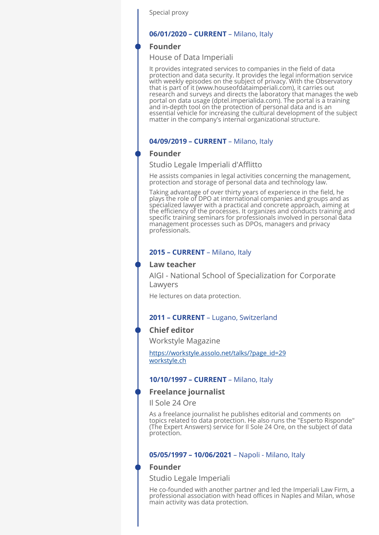Special proxy

#### **06/01/2020 – CURRENT** – Milano, Italy

#### **Founder**

House of Data Imperiali

It provides integrated services to companies in the field of data protection and data security. It provides the legal information service with weekly episodes on the subject of privacy. With the Observatory that is part of it (www.houseofdataimperiali.com), it carries out research and surveys and directs the laboratory that manages the web portal on data usage (dptel.imperialida.com). The portal is a training and in-depth tool on the protection of personal data and is an essential vehicle for increasing the cultural development of the subject matter in the company's internal organizational structure.

#### **04/09/2019 – CURRENT** – Milano, Italy

#### **Founder**

Studio Legale Imperiali d'Afflitto

He assists companies in legal activities concerning the management, protection and storage of personal data and technology law.

Taking advantage of over thirty years of experience in the field, he plays the role of DPO at international companies and groups and as specialized lawyer with a practical and concrete approach, aiming at the efficiency of the processes. It organizes and conducts training and specific training seminars for professionals involved in personal data management processes such as DPOs, managers and privacy professionals.

#### **2015 – CURRENT** – Milano, Italy

#### **Law teacher**

AIGI - National School of Specialization for Corporate Lawyers

He lectures on data protection.

#### **2011 – CURRENT** – Lugano, Switzerland

#### **Chief editor**

Workstyle Magazine

[https://workstyle.assolo.net/talks/?page\\_id=29](https://workstyle.assolo.net/talks/?page_id=29) [workstyle.ch](http://workstyle.ch)

#### **10/10/1997 – CURRENT** – Milano, Italy

#### **Freelance journalist**

Il Sole 24 Ore

As a freelance journalist he publishes editorial and comments on topics related to data protection. He also runs the "Esperto Risponde" (The Expert Answers) service for Il Sole 24 Ore, on the subject of data protection.

#### **05/05/1997 – 10/06/2021** – Napoli - Milano, Italy

#### **Founder**

Studio Legale Imperiali

He co-founded with another partner and led the Imperiali Law Firm, a professional association with head offices in Naples and Milan, whose main activity was data protection.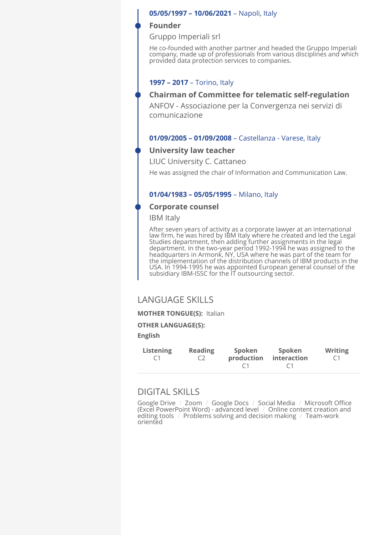#### **05/05/1997 – 10/06/2021** – Napoli, Italy

#### **Founder**

Gruppo Imperiali srl

He co-founded with another partner and headed the Gruppo Imperiali company, made up of professionals from various disciplines and which provided data protection services to companies.

#### **1997 – 2017** – Torino, Italy

### **Chairman of Committee for telematic self-regulation**

ANFOV - Associazione per la Convergenza nei servizi di comunicazione

#### **01/09/2005 – 01/09/2008** – Castellanza - Varese, Italy

#### **University law teacher**

LIUC University C. Cattaneo

He was assigned the chair of Information and Communication Law.

#### **01/04/1983 – 05/05/1995** – Milano, Italy

#### **Corporate counsel**

IBM Italy

After seven years of activity as a corporate lawyer at an international law firm, he was hired by IBM Italy where he created and led the Legal<br>Studies department, then adding further assignments in the legal department. In the two-year period 1992-1994 he was assigned to the headquarters in Armonk, NY, USA where he was part of the team for the implementation of the distribution channels of IBM products in the USA. In 1994-1995 he was appointed European general counsel of the subsidiary IBM-ISSC for the IT outsourcing sector.

### LANGUAGE SKILLS

**MOTHER TONGUE(S):** Italian

#### **OTHER LANGUAGE(S):**

#### **English**

| <b>Listening</b> | <b>Reading</b> | Spoken     | Spoken      | <b>Writing</b> |
|------------------|----------------|------------|-------------|----------------|
| C1               | C <sub>2</sub> | production | interaction | C 1            |
|                  |                |            | $\sqrt{1}$  |                |

# DIGITAL SKILLS

Google Drive / Zoom / Google Docs / Social Media / Microsoft Office (Excel PowerPoint Word) - advanced level / Online content creation and editing tools / Problems solving and decision making / Team-work oriented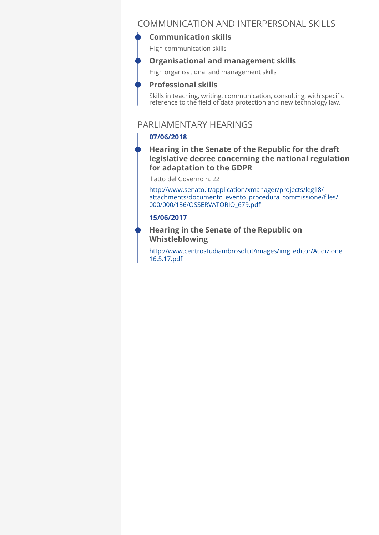# COMMUNICATION AND INTERPERSONAL SKILLS

# **Communication skills**

High communication skills

### **Organisational and management skills**

High organisational and management skills

### **Professional skills**

Skills in teaching, writing, communication, consulting, with specific reference to the field of data protection and new technology law.

# PARLIAMENTARY HEARINGS

# **07/06/2018**

### **Hearing in the Senate of the Republic for the draft legislative decree concerning the national regulation for adaptation to the GDPR**

l'atto del Governo n. 22

[http://www.senato.it/application/xmanager/projects/leg18/](http://www.senato.it/application/xmanager/projects/leg18/attachments/documento_evento_procedura_commissione/files/000/000/136/OSSERVATORIO_679.pdf) [attachments/documento\\_evento\\_procedura\\_commissione/](http://www.senato.it/application/xmanager/projects/leg18/attachments/documento_evento_procedura_commissione/files/000/000/136/OSSERVATORIO_679.pdf)files/ [000/000/136/OSSERVATORIO\\_679.pdf](http://www.senato.it/application/xmanager/projects/leg18/attachments/documento_evento_procedura_commissione/files/000/000/136/OSSERVATORIO_679.pdf)

### **15/06/2017**

### **Hearing in the Senate of the Republic on Whistleblowing**

[http://www.centrostudiambrosoli.it/images/img\\_editor/Audizione](http://www.centrostudiambrosoli.it/images/img_editor/Audizione%2016.5.17.pdf) [16.5.17.pdf](http://www.centrostudiambrosoli.it/images/img_editor/Audizione%2016.5.17.pdf)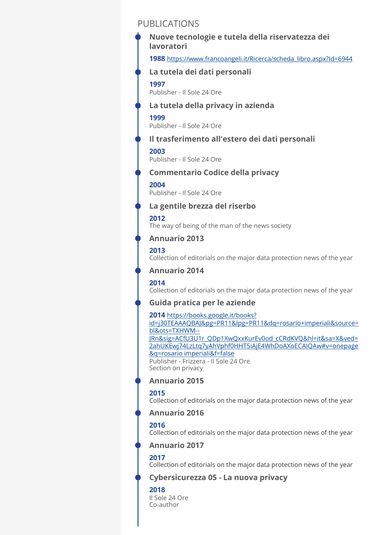# PUBLICATIONS

**1988** [https://www.francoangeli.it/Ricerca/scheda\\_libro.aspx?Id=6944](https://www.francoangeli.it/Ricerca/scheda_libro.aspx?Id=6944) **1997**  Publisher - Il Sole 24 Ore **1999**  Publisher - Il Sole 24 Ore **2003**  Publisher - Il Sole 24 Ore **2004**  Publisher - Il Sole 24 Ore **2012**  The way of being of the man of the news society **2013**  Collection of editorials on the major data protection news of the year **2014**  Collection of editorials on the major data protection news of the year **2014** [https://books.google.it/books?](https://books.google.it/books?id=j30TEAAAQBAJ&pg=PR11&lpg=PR11&dq=rosario+imperiali&source=bl&ots=TXHWM--JRn&sig=ACfU3U1r_QDp1XwQxxKurEv0od_cCRdKVQ&hl=it&sa=X&ved=2ahUKEwj74LzLtq7yAhVphf0HHT5iAjE4WhDoAXoECAIQAw#v=onepage&q=rosario%20imperiali&f=false) [id=j30TEAAAQBAJ&pg=PR11&lpg=PR11&dq=rosario+imperiali&source=](https://books.google.it/books?id=j30TEAAAQBAJ&pg=PR11&lpg=PR11&dq=rosario+imperiali&source=bl&ots=TXHWM--JRn&sig=ACfU3U1r_QDp1XwQxxKurEv0od_cCRdKVQ&hl=it&sa=X&ved=2ahUKEwj74LzLtq7yAhVphf0HHT5iAjE4WhDoAXoECAIQAw#v=onepage&q=rosario%20imperiali&f=false) [bl&ots=TXHWM--](https://books.google.it/books?id=j30TEAAAQBAJ&pg=PR11&lpg=PR11&dq=rosario+imperiali&source=bl&ots=TXHWM--JRn&sig=ACfU3U1r_QDp1XwQxxKurEv0od_cCRdKVQ&hl=it&sa=X&ved=2ahUKEwj74LzLtq7yAhVphf0HHT5iAjE4WhDoAXoECAIQAw#v=onepage&q=rosario%20imperiali&f=false) [JRn&sig=ACfU3U1r\\_QDp1XwQxxKurEv0od\\_cCRdKVQ&hl=it&sa=X&ved=](https://books.google.it/books?id=j30TEAAAQBAJ&pg=PR11&lpg=PR11&dq=rosario+imperiali&source=bl&ots=TXHWM--JRn&sig=ACfU3U1r_QDp1XwQxxKurEv0od_cCRdKVQ&hl=it&sa=X&ved=2ahUKEwj74LzLtq7yAhVphf0HHT5iAjE4WhDoAXoECAIQAw#v=onepage&q=rosario%20imperiali&f=false) [2ahUKEwj74LzLtq7yAhVphf0HHT5iAjE4WhDoAXoECAIQAw#v=onepage](https://books.google.it/books?id=j30TEAAAQBAJ&pg=PR11&lpg=PR11&dq=rosario+imperiali&source=bl&ots=TXHWM--JRn&sig=ACfU3U1r_QDp1XwQxxKurEv0od_cCRdKVQ&hl=it&sa=X&ved=2ahUKEwj74LzLtq7yAhVphf0HHT5iAjE4WhDoAXoECAIQAw#v=onepage&q=rosario%20imperiali&f=false) [&q=rosario imperiali&f=false](https://books.google.it/books?id=j30TEAAAQBAJ&pg=PR11&lpg=PR11&dq=rosario+imperiali&source=bl&ots=TXHWM--JRn&sig=ACfU3U1r_QDp1XwQxxKurEv0od_cCRdKVQ&hl=it&sa=X&ved=2ahUKEwj74LzLtq7yAhVphf0HHT5iAjE4WhDoAXoECAIQAw#v=onepage&q=rosario%20imperiali&f=false) Publisher - Frizzera - Il Sole 24 Ore Section on privacy **Nuove tecnologie e tutela della riservatezza dei lavoratori La tutela dei dati personali La tutela della privacy in azienda Il trasferimento all'estero dei dati personali Commentario Codice della privacy La gentile brezza del riserbo Annuario 2013 Annuario 2014 Guida pratica per le aziende Annuario 2015** 

#### **2015**

Collection of editorials on the major data protection news of the year

### **Annuario 2016**

#### **2016**

Collection of editorials on the major data protection news of the year

### **Annuario 2017**

#### **2017**

Collection of editorials on the major data protection news of the year

### **Cybersicurezza 05 - La nuova privacy**

#### **2018**

Il Sole 24 Ore Co-author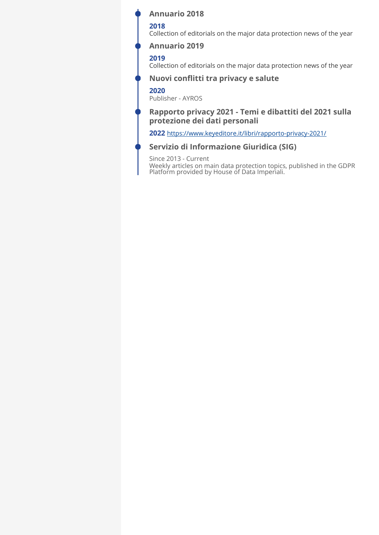### **Annuario 2018**

### **2018**

Collection of editorials on the major data protection news of the year

### **Annuario 2019**

### **2019**

Collection of editorials on the major data protection news of the year

### **Nuovi conflitti tra privacy e salute**

#### **2020**

Publisher - AYROS

### **Rapporto privacy 2021 - Temi e dibattiti del 2021 sulla protezione dei dati personali**

**2022** <https://www.keyeditore.it/libri/rapporto-privacy-2021/>

### **Servizio di Informazione Giuridica (SIG)**

Since 2013 - Current Weekly articles on main data protection topics, published in the GDPR Platform provided by House of Data Imperiali.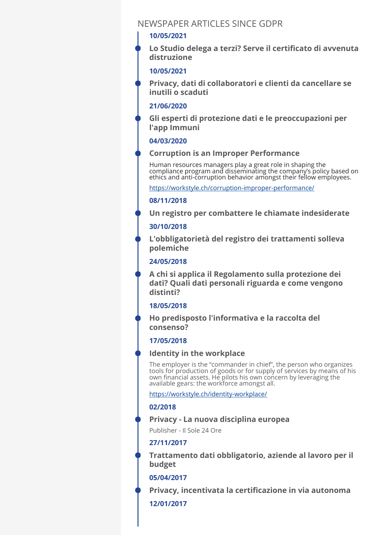# NEWSPAPER ARTICLES SINCE GDPR

#### **10/05/2021**

**Lo Studio delega a terzi? Serve il certificato di avvenuta distruzione** 

### **10/05/2021**

**Privacy, dati di collaboratori e clienti da cancellare se inutili o scaduti** 

### **21/06/2020**

**Gli esperti di protezione dati e le preoccupazioni per l'app Immuni** 

### **04/03/2020**

### **Corruption is an Improper Performance**

Human resources managers play a great role in shaping the compliance program and disseminating the company's policy based on ethics and anti-corruption behavior amongst their fellow employees.

<https://workstyle.ch/corruption-improper-performance/>

### **08/11/2018**

**Un registro per combattere le chiamate indesiderate** 

### **30/10/2018**

**L'obbligatorietà del registro dei trattamenti solleva polemiche** 

### **24/05/2018**

**A chi si applica il Regolamento sulla protezione dei dati? Quali dati personali riguarda e come vengono distinti?** 

### **18/05/2018**

**Ho predisposto l'informativa e la raccolta del consenso?** 

#### **17/05/2018**

#### **Identity in the workplace**

The employer is the "commander in chief", the person who organizes tools for production of goods or for supply of services by means of his own financial assets. He pilots his own concern by leveraging the available gears: the workforce amongst all.

<https://workstyle.ch/identity-workplace/>

#### **02/2018**

### **Privacy - La nuova disciplina europea**

Publisher - Il Sole 24 Ore

### **27/11/2017**

**Trattamento dati obbligatorio, aziende al lavoro per il budget** 

#### **05/04/2017**

**Privacy, incentivata la certificazione in via autonoma** 

### **12/01/2017**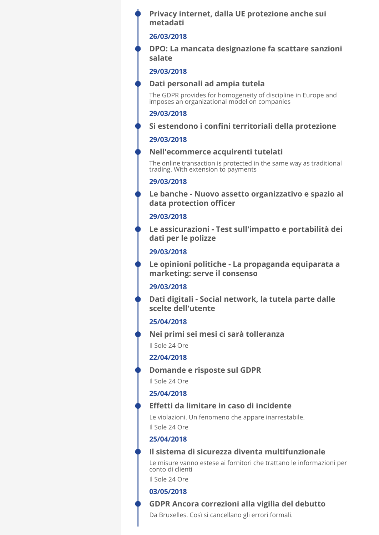**Privacy internet, dalla UE protezione anche sui metadati** 

#### **26/03/2018**

**DPO: La mancata designazione fa scattare sanzioni salate** 

#### **29/03/2018**

#### **Dati personali ad ampia tutela**

The GDPR provides for homogeneity of discipline in Europe and imposes an organizational model on companies

#### **29/03/2018**

#### **Si estendono i confini territoriali della protezione**

#### **29/03/2018**

#### **Nell'ecommerce acquirenti tutelati**

The online transaction is protected in the same way as traditional trading. With extension to payments

#### **29/03/2018**

**Le banche - Nuovo assetto organizzativo e spazio al data protection officer** 

#### **29/03/2018**

**Le assicurazioni - Test sull'impatto e portabilità dei dati per le polizze** 

### **29/03/2018**

**Le opinioni politiche - La propaganda equiparata a marketing: serve il consenso** 

#### **29/03/2018**

**Dati digitali - Social network, la tutela parte dalle scelte dell'utente** 

### **25/04/2018**

Il Sole 24 Ore **Nei primi sei mesi ci sarà tolleranza** 

#### **22/04/2018**

**Domande e risposte sul GDPR** 

Il Sole 24 Ore

#### **25/04/2018**

### **Effetti da limitare in caso di incidente**

Le violazioni. Un fenomeno che appare inarrestabile. Il Sole 24 Ore

### **25/04/2018**

#### **Il sistema di sicurezza diventa multifunzionale**

Le misure vanno estese ai fornitori che trattano le informazioni per conto di clienti

Il Sole 24 Ore

### **03/05/2018**

#### **GDPR Ancora correzioni alla vigilia del debutto**

Da Bruxelles. Così si cancellano gli errori formali.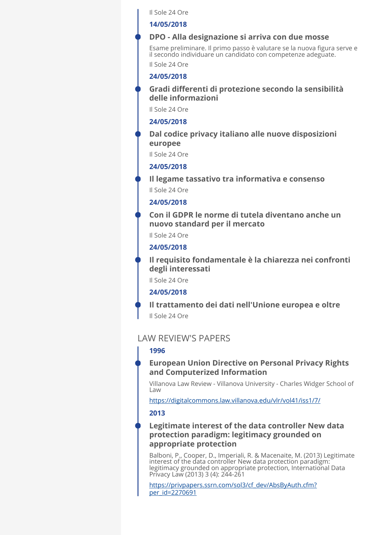Il Sole 24 Ore

#### **14/05/2018**

#### **DPO - Alla designazione si arriva con due mosse**

Esame preliminare. Il primo passo è valutare se la nuova figura serve e il secondo individuare un candidato con competenze adeguate.

Il Sole 24 Ore

### **24/05/2018**

### **Gradi differenti di protezione secondo la sensibilità delle informazioni**

Il Sole 24 Ore

#### **24/05/2018**

**Dal codice privacy italiano alle nuove disposizioni europee** 

Il Sole 24 Ore

#### **24/05/2018**

**Il legame tassativo tra informativa e consenso** 

Il Sole 24 Ore

#### **24/05/2018**

**Con il GDPR le norme di tutela diventano anche un nuovo standard per il mercato** 

Il Sole 24 Ore

#### **24/05/2018**

**Il requisito fondamentale è la chiarezza nei confronti degli interessati** 

Il Sole 24 Ore

#### **24/05/2018**

Il Sole 24 Ore **Il trattamento dei dati nell'Unione europea e oltre** 

## LAW REVIEW'S PAPERS

#### **1996**

### **European Union Directive on Personal Privacy Rights and Computerized Information**

Villanova Law Review - Villanova University - Charles Widger School of Law

<https://digitalcommons.law.villanova.edu/vlr/vol41/iss1/7/>

#### **2013**

### **Legitimate interest of the data controller New data protection paradigm: legitimacy grounded on appropriate protection**

Balboni, P., Cooper, D., Imperiali, R. & Macenaite, M. (2013) Legitimate interest of the data controller New data protection paradigm: legitimacy grounded on appropriate protection, International Data Privacy Law (2013) 3 (4): 244-261

[https://privpapers.ssrn.com/sol3/cf\\_dev/AbsByAuth.cfm?](https://privpapers.ssrn.com/sol3/cf_dev/AbsByAuth.cfm?per_id=2270691) [per\\_id=2270691](https://privpapers.ssrn.com/sol3/cf_dev/AbsByAuth.cfm?per_id=2270691)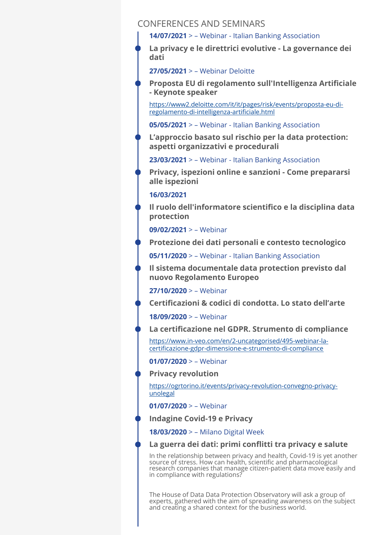### CONFERENCES AND SEMINARS

**14/07/2021** > – Webinar - Italian Banking Association

**La privacy e le direttrici evolutive - La governance dei dati** 

**27/05/2021** > – Webinar Deloitte

**Proposta EU di regolamento sull'Intelligenza Artificiale - Keynote speaker** 

[https://www2.deloitte.com/it/it/pages/risk/events/proposta-eu-di](https://www2.deloitte.com/it/it/pages/risk/events/proposta-eu-di-regolamento-di-intelligenza-artificiale.html)[regolamento-di-intelligenza-arti](https://www2.deloitte.com/it/it/pages/risk/events/proposta-eu-di-regolamento-di-intelligenza-artificiale.html)ficiale.html

**05/05/2021** > – Webinar - Italian Banking Association

**L'approccio basato sul rischio per la data protection: aspetti organizzativi e procedurali** 

**23/03/2021** > – Webinar - Italian Banking Association

**Privacy, ispezioni online e sanzioni - Come prepararsi alle ispezioni** 

#### **16/03/2021**

**Il ruolo dell'informatore scientifico e la disciplina data protection** 

**09/02/2021** > – Webinar

**Protezione dei dati personali e contesto tecnologico** 

**05/11/2020** > – Webinar - Italian Banking Association

**Il sistema documentale data protection previsto dal nuovo Regolamento Europeo** 

**27/10/2020** > – Webinar

**Certificazioni & codici di condotta. Lo stato dell'arte** 

**18/09/2020** > – Webinar

**La certificazione nel GDPR. Strumento di compliance** 

[https://www.in-veo.com/en/2-uncategorised/495-webinar-la](https://www.in-veo.com/en/2-uncategorised/495-webinar-la-certificazione-gdpr-dimensione-e-strumento-di-compliance)certifi[cazione-gdpr-dimensione-e-strumento-di-compliance](https://www.in-veo.com/en/2-uncategorised/495-webinar-la-certificazione-gdpr-dimensione-e-strumento-di-compliance)

**01/07/2020** > – Webinar

**Privacy revolution** 

[https://ogrtorino.it/events/privacy-revolution-convegno-privacy](https://ogrtorino.it/events/privacy-revolution-convegno-privacy-unolegal)[unolegal](https://ogrtorino.it/events/privacy-revolution-convegno-privacy-unolegal)

**01/07/2020** > – Webinar

**Indagine Covid-19 e Privacy** 

**18/03/2020** > – Milano Digital Week

### **La guerra dei dati: primi conflitti tra privacy e salute**

In the relationship between privacy and health, Covid-19 is yet another source of stress. How can health, scientific and pharmacological research companies that manage citizen-patient data move easily and in compliance with regulations?

The House of Data Data Protection Observatory will ask a group of experts, gathered with the aim of spreading awareness on the subject and creating a shared context for the business world.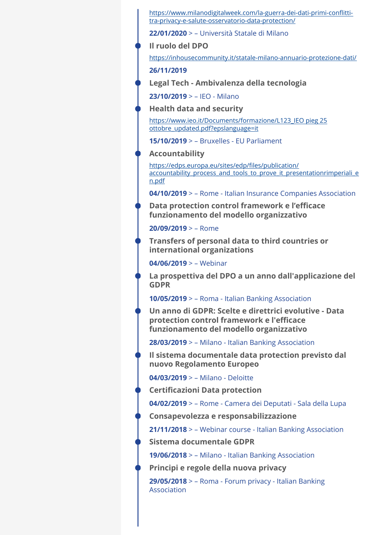[https://www.milanodigitalweek.com/la-guerra-dei-dati-primi-con](https://www.milanodigitalweek.com/la-guerra-dei-dati-primi-conflitti-tra-privacy-e-salute-osservatorio-data-protection/)flitti[tra-privacy-e-salute-osservatorio-data-protection/](https://www.milanodigitalweek.com/la-guerra-dei-dati-primi-conflitti-tra-privacy-e-salute-osservatorio-data-protection/)

**22/01/2020** > – Università Statale di Milano

**Il ruolo del DPO** 

<https://inhousecommunity.it/statale-milano-annuario-protezione-dati/>

**26/11/2019** 

**Legal Tech - Ambivalenza della tecnologia** 

**23/10/2019** > – IEO - Milano

**Health data and security** 

[https://www.ieo.it/Documents/formazione/L123\\_IEO pieg 25](https://www.ieo.it/Documents/formazione/L123_IEO%20pieg%2025%20ottobre_updated.pdf?epslanguage=it) [ottobre\\_updated.pdf?epslanguage=it](https://www.ieo.it/Documents/formazione/L123_IEO%20pieg%2025%20ottobre_updated.pdf?epslanguage=it)

**15/10/2019** > – Bruxelles - EU Parliament

**Accountability** 

[https://edps.europa.eu/sites/edp/](https://edps.europa.eu/sites/edp/files/publication/accountability_process_and_tools_to_prove_it_presentationrimperiali_en.pdf)files/publication/ [accountability\\_process\\_and\\_tools\\_to\\_prove\\_it\\_presentationrimperiali\\_e](https://edps.europa.eu/sites/edp/files/publication/accountability_process_and_tools_to_prove_it_presentationrimperiali_en.pdf) [n.pdf](https://edps.europa.eu/sites/edp/files/publication/accountability_process_and_tools_to_prove_it_presentationrimperiali_en.pdf)

**04/10/2019** > – Rome - Italian Insurance Companies Association

**Data protection control framework e l'efficace funzionamento del modello organizzativo** 

**20/09/2019** > – Rome

**Transfers of personal data to third countries or international organizations** 

**04/06/2019** > – Webinar

**La prospettiva del DPO a un anno dall'applicazione del GDPR** 

**10/05/2019** > – Roma - Italian Banking Association

**Un anno di GDPR: Scelte e direttrici evolutive - Data protection control framework e l'efficace funzionamento del modello organizzativo** 

**28/03/2019** > – Milano - Italian Banking Association

**Il sistema documentale data protection previsto dal nuovo Regolamento Europeo** 

**04/03/2019** > – Milano - Deloitte

**Certificazioni Data protection** 

**04/02/2019** > – Rome - Camera dei Deputati - Sala della Lupa

**Consapevolezza e responsabilizzazione** 

**21/11/2018** > – Webinar course - Italian Banking Association

**Sistema documentale GDPR** 

**19/06/2018** > – Milano - Italian Banking Association

**Principi e regole della nuova privacy** 

**29/05/2018** > – Roma - Forum privacy - Italian Banking Association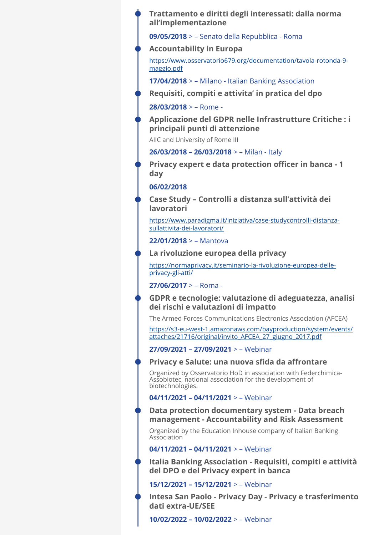### **Trattamento e diritti degli interessati: dalla norma all'implementazione**

**09/05/2018** > – Senato della Repubblica - Roma

**Accountability in Europa** 

[https://www.osservatorio679.org/documentation/tavola-rotonda-9](https://www.osservatorio679.org/documentation/tavola-rotonda-9-maggio.pdf) [maggio.pdf](https://www.osservatorio679.org/documentation/tavola-rotonda-9-maggio.pdf)

**17/04/2018** > – Milano - Italian Banking Association

**Requisiti, compiti e attivita' in pratica del dpo** 

**28/03/2018** > – Rome -

**Applicazione del GDPR nelle Infrastrutture Critiche : i principali punti di attenzione** 

AIIC and University of Rome III

**26/03/2018 – 26/03/2018** > – Milan - Italy

**Privacy expert e data protection officer in banca - 1 day** 

**06/02/2018** 

**Case Study – Controlli a distanza sull'attività dei lavoratori** 

[https://www.paradigma.it/iniziativa/case-studycontrolli-distanza](https://www.paradigma.it/iniziativa/case-studycontrolli-distanza-sullattivita-dei-lavoratori/)[sullattivita-dei-lavoratori/](https://www.paradigma.it/iniziativa/case-studycontrolli-distanza-sullattivita-dei-lavoratori/)

**22/01/2018** > – Mantova

**La rivoluzione europea della privacy** 

[https://normaprivacy.it/seminario-la-rivoluzione-europea-delle](https://normaprivacy.it/seminario-la-rivoluzione-europea-delle-privacy-gli-atti/)[privacy-gli-atti/](https://normaprivacy.it/seminario-la-rivoluzione-europea-delle-privacy-gli-atti/)

**27/06/2017** > – Roma -

**GDPR e tecnologie: valutazione di adeguatezza, analisi dei rischi e valutazioni di impatto** 

The Armed Forces Communications Electronics Association (AFCEA)

[https://s3-eu-west-1.amazonaws.com/bayproduction/system/events/](https://s3-eu-west-1.amazonaws.com/bayproduction/system/events/attaches/21716/original/invito_AFCEA_27_giugno_2017.pdf) [attaches/21716/original/invito\\_AFCEA\\_27\\_giugno\\_2017.pdf](https://s3-eu-west-1.amazonaws.com/bayproduction/system/events/attaches/21716/original/invito_AFCEA_27_giugno_2017.pdf)

**27/09/2021 – 27/09/2021** > – Webinar

### **Privacy e Salute: una nuova sfida da affrontare**

Organized by Osservatorio HoD in association with Federchimica-Assobiotec, national association for the development of biotechnologies.

### **04/11/2021 – 04/11/2021** > – Webinar

**Data protection documentary system - Data breach management - Accountability and Risk Assessment** 

Organized by the Education Inhouse company of Italian Banking Association

**04/11/2021 – 04/11/2021** > – Webinar

**Italia Banking Association - Requisiti, compiti e attività del DPO e del Privacy expert in banca** 

**15/12/2021 – 15/12/2021** > – Webinar

**Intesa San Paolo - Privacy Day - Privacy e trasferimento dati extra-UE/SEE** 

**10/02/2022 – 10/02/2022** > – Webinar